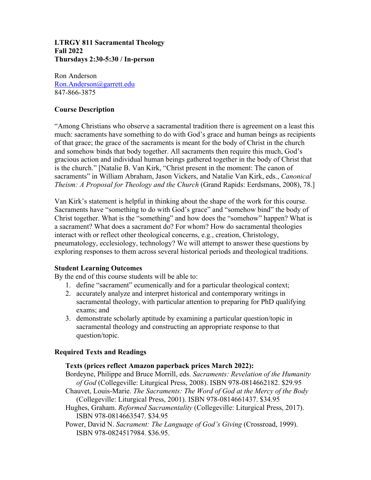#### **LTRGY 811 Sacramental Theology Fall 2022 Thursdays 2:30-5:30 / In-person**

Ron Anderson Ron.Anderson@garrett.edu 847-866-3875

# **Course Description**

"Among Christians who observe a sacramental tradition there is agreement on a least this much: sacraments have something to do with God's grace and human beings as recipients of that grace; the grace of the sacraments is meant for the body of Christ in the church and somehow binds that body together. All sacraments then require this much, God's gracious action and individual human beings gathered together in the body of Christ that is the church." [Natalie B. Van Kirk, "Christ present in the moment: The canon of sacraments" in William Abraham, Jason Vickers, and Natalie Van Kirk, eds., *Canonical Theism: A Proposal for Theology and the Church* (Grand Rapids: Eerdsmans, 2008), 78.]

Van Kirk's statement is helpful in thinking about the shape of the work for this course. Sacraments have "something to do with God's grace" and "somehow bind" the body of Christ together. What is the "something" and how does the "somehow" happen? What is a sacrament? What does a sacrament do? For whom? How do sacramental theologies interact with or reflect other theological concerns, e.g., creation, Christology, pneumatology, ecclesiology, technology? We will attempt to answer these questions by exploring responses to them across several historical periods and theological traditions.

# **Student Learning Outcomes**

By the end of this course students will be able to:

- 1. define "sacrament" ecumenically and for a particular theological context;
- 2. accurately analyze and interpret historical and contemporary writings in sacramental theology, with particular attention to preparing for PhD qualifying exams; and
- 3. demonstrate scholarly aptitude by examining a particular question/topic in sacramental theology and constructing an appropriate response to that question/topic.

# **Required Texts and Readings**

# **Texts (prices reflect Amazon paperback prices March 2022):**

- Bordeyne, Philippe and Bruce Morrill, eds. *Sacraments: Revelation of the Humanity of God* (Collegeville: Liturgical Press, 2008). ISBN 978-0814662182. \$29.95
- Chauvet, Louis-Marie. *The Sacraments: The Word of God at the Mercy of the Body*  (Collegeville: Liturgical Press, 2001). ISBN 978-0814661437. \$34.95
- Hughes, Graham. *Reformed Sacramentality* (Collegeville: Liturgical Press, 2017). ISBN 978-0814663547. \$34.95
- Power, David N. *Sacrament: The Language of God's Giving* (Crossroad, 1999). ISBN 978-0824517984. \$36.95.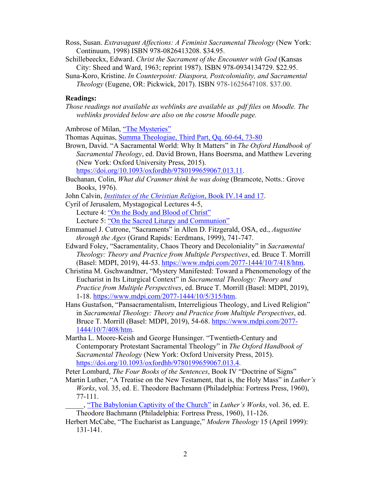- Ross, Susan. *Extravagant Affections: A Feminist Sacramental Theology* (New York: Continuum, 1998) ISBN 978-0826413208. \$34.95.
- Schillebeeckx, Edward. *Christ the Sacrament of the Encounter with God* (Kansas City: Sheed and Ward, 1963; reprint 1987). ISBN 978-0934134729. \$22.95.
- Suna-Koro, Kristine. *In Counterpoint: Diaspora, Postcoloniality, and Sacramental Theology* (Eugene, OR: Pickwick, 2017). ISBN 978-1625647108. \$37.00.

#### **Readings:**

*Those readings not available as weblinks are available as .pdf files on Moodle. The weblinks provided below are also on the course Moodle page.*

Ambrose of Milan, "The Mysteries"

Thomas Aquinas, Summa Theologiae, Third Part, Qq. 60-64, 73-80

Brown, David. "A Sacramental World: Why It Matters" in *The Oxford Handbook of Sacramental Theology*, ed. David Brown, Hans Boersma, and Matthew Levering (New York: Oxford University Press, 2015).

https://doi.org/10.1093/oxfordhb/9780199659067.013.11.

Buchanan, Colin, *What did Cranmer think he was doing* (Bramcote, Notts.: Grove Books, 1976).

John Calvin, *Institutes of the Christian Religion*, Book IV.14 and 17.

Cyril of Jerusalem, Mystagogical Lectures 4-5,

Lecture 4: "On the Body and Blood of Christ"

Lecture 5: "On the Sacred Liturgy and Communion"

- Emmanuel J. Cutrone, "Sacraments" in Allen D. Fitzgerald, OSA, ed., *Augustine through the Ages* (Grand Rapids: Eerdmans, 1999), 741-747.
- Edward Foley, "Sacramentality, Chaos Theory and Decoloniality" in *Sacramental Theology: Theory and Practice from Multiple Perspectives*, ed. Bruce T. Morrill (Basel: MDPI, 2019), 44-53. https://www.mdpi.com/2077-1444/10/7/418/htm.
- Christina M. Gschwandtner, "Mystery Manifested: Toward a Phenomenology of the Eucharist in Its Liturgical Context" in *Sacramental Theology: Theory and Practice from Multiple Perspectives*, ed. Bruce T. Morrill (Basel: MDPI, 2019), 1-18. https://www.mdpi.com/2077-1444/10/5/315/htm.
- Hans Gustafson, "Pansacramentalism, Interreligious Theology, and Lived Religion" in *Sacramental Theology: Theory and Practice from Multiple Perspectives*, ed. Bruce T. Morrill (Basel: MDPI, 2019), 54-68. https://www.mdpi.com/2077- 1444/10/7/408/htm.
- Martha L. Moore-Keish and George Hunsinger. "Twentieth-Century and Contemporary Protestant Sacramental Theology" in *The Oxford Handbook of Sacramental Theology* (New York: Oxford University Press, 2015). https://doi.org/10.1093/oxfordhb/9780199659067.013.4.

Peter Lombard, *The Four Books of the Sentences*, Book IV "Doctrine of Signs"

Martin Luther, "A Treatise on the New Testament, that is, the Holy Mass" in *Luther's Works*, vol. 35, ed. E. Theodore Bachmann (Philadelphia: Fortress Press, 1960), 77-111.

\_\_\_\_\_, "The Babylonian Captivity of the Church" in *Luther's Works*, vol. 36, ed. E. Theodore Bachmann (Philadelphia: Fortress Press, 1960), 11-126.

Herbert McCabe, "The Eucharist as Language," *Modern Theology* 15 (April 1999): 131-141.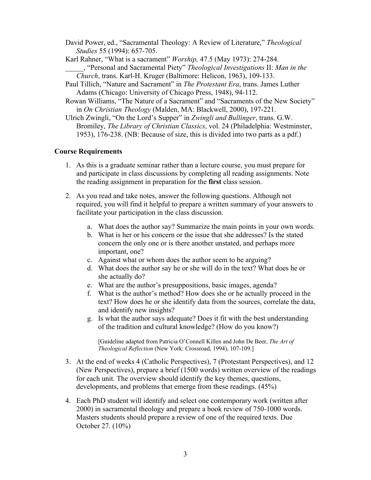David Power, ed., "Sacramental Theology: A Review of Literature," *Theological Studies* 55 (1994): 657-705.

Karl Rahner, "What is a sacrament" *Worship,* 47.5 (May 1973): 274-284. \_\_\_\_\_, "Personal and Sacramental Piety" *Theological Investigations* II: *Man in the Church*, trans. Karl-H. Kruger (Baltimore: Helicon, 1963), 109-133.

- Paul Tillich, "Nature and Sacrament" in *The Protestant Era*, trans. James Luther Adams (Chicago: University of Chicago Press, 1948), 94-112.
- Rowan Williams, "The Nature of a Sacrament" and "Sacraments of the New Society" in *On Christian Theology* (Malden, MA: Blackwell, 2000), 197-221.

Ulrich Zwingli, "On the Lord's Supper" in *Zwingli and Bullinger*, trans. G.W. Bromiley, *The Library of Christian Classics*, vol. 24 (Philadelphia: Westminster, 1953), 176-238. (NB: Because of size, this is divided into two parts as a pdf.)

#### **Course Requirements**

- 1. As this is a graduate seminar rather than a lecture course, you must prepare for and participate in class discussions by completing all reading assignments. Note the reading assignment in preparation for the **first** class session.
- 2. As you read and take notes, answer the following questions. Although not required, you will find it helpful to prepare a written summary of your answers to facilitate your participation in the class discussion.
	- a. What does the author say? Summarize the main points in your own words.
	- b. What is her or his concern or the issue that she addresses? Is the stated concern the only one or is there another unstated, and perhaps more important, one?
	- c. Against what or whom does the author seem to be arguing?
	- d. What does the author say he or she will do in the text? What does he or she actually do?
	- e. What are the author's presuppositions, basic images, agenda?
	- f. What is the author's method? How does she or he actually proceed in the text? How does he or she identify data from the sources, correlate the data, and identify new insights?
	- g. Is what the author says adequate? Does it fit with the best understanding of the tradition and cultural knowledge? (How do you know?)

[Guideline adapted from Patricia O'Connell Killen and John De Beer, *The Art of Theological Reflection* (New York: Crossroad, 1994), 107-109.]

- 3. At the end of weeks 4 (Catholic Perspectives), 7 (Protestant Perspectives), and 12 (New Perspectives), prepare a brief (1500 words) written overview of the readings for each unit. The overview should identify the key themes, questions, developments, and problems that emerge from these readings. (45%)
- 4. Each PhD student will identify and select one contemporary work (written after 2000) in sacramental theology and prepare a book review of 750-1000 words. Masters students should prepare a review of one of the required texts. Due October 27. (10%)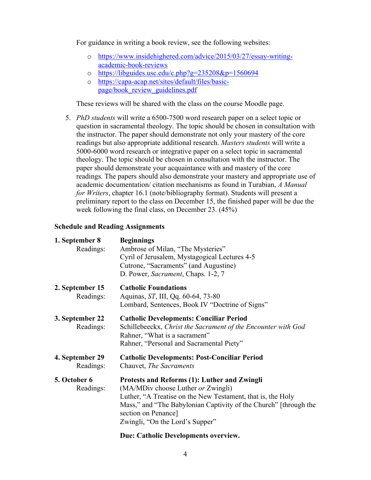For guidance in writing a book review, see the following websites:

- o https://www.insidehighered.com/advice/2015/03/27/essay-writingacademic-book-reviews
- o https://libguides.usc.edu/c.php?g=235208&p=1560694
- o https://capa-acap.net/sites/default/files/basicpage/book\_review\_guidelines.pdf

These reviews will be shared with the class on the course Moodle page.

5. *PhD students* will write a 6500-7500 word research paper on a select topic or question in sacramental theology. The topic should be chosen in consultation with the instructor. The paper should demonstrate not only your mastery of the core readings but also appropriate additional research. *Masters students* will write a 5000-6000 word research or integrative paper on a select topic in sacramental theology. The topic should be chosen in consultation with the instructor. The paper should demonstrate your acquaintance with and mastery of the core readings. The papers should also demonstrate your mastery and appropriate use of academic documentation/ citation mechanisms as found in Turabian, *A Manual for Writers*, chapter 16.1 (note/bibliography format). Students will present a preliminary report to the class on December 15, the finished paper will be due the week following the final class, on December 23. (45%)

#### **Schedule and Reading Assignments**

| 1. September 8<br>Readings:  | <b>Beginnings</b><br>Ambrose of Milan, "The Mysteries"<br>Cyril of Jerusalem, Mystagogical Lectures 4-5<br>Cutrone, "Sacraments" (and Augustine)<br>D. Power, Sacrament, Chaps. 1-2, 7                                                                                                 |
|------------------------------|----------------------------------------------------------------------------------------------------------------------------------------------------------------------------------------------------------------------------------------------------------------------------------------|
| 2. September 15<br>Readings: | <b>Catholic Foundations</b><br>Aquinas, ST, III, Qq. 60-64, 73-80<br>Lombard, Sentences, Book IV "Doctrine of Signs"                                                                                                                                                                   |
| 3. September 22<br>Readings: | <b>Catholic Developments: Conciliar Period</b><br>Schillebeeckx, Christ the Sacrament of the Encounter with God<br>Rahner, "What is a sacrament"<br>Rahner, "Personal and Sacramental Piety"                                                                                           |
| 4. September 29<br>Readings: | <b>Catholic Developments: Post-Conciliar Period</b><br>Chauvet, The Sacraments                                                                                                                                                                                                         |
| 5. October 6<br>Readings:    | <b>Protests and Reforms (1): Luther and Zwingli</b><br>(MA/MDiv choose Luther or Zwingli)<br>Luther, "A Treatise on the New Testament, that is, the Holy<br>Mass," and "The Babylonian Captivity of the Church" [through the<br>section on Penance]<br>Zwingli, "On the Lord's Supper" |
|                              |                                                                                                                                                                                                                                                                                        |

# **Due: Catholic Developments overview.**